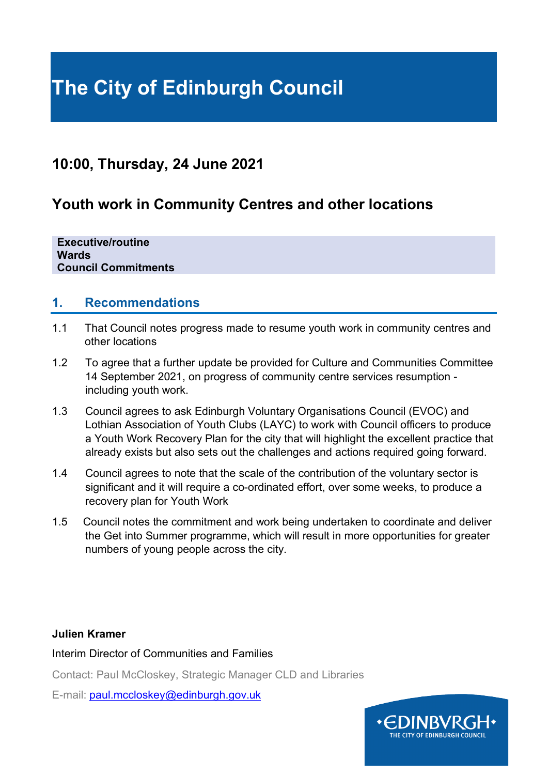# **The City of Edinburgh Council**

## **10:00, Thursday, 24 June 2021**

## **Youth work in Community Centres and other locations**

**Executive/routine Wards Council Commitments**

#### **1. Recommendations**

- 1.1 That Council notes progress made to resume youth work in community centres and other locations
- 1.2 To agree that a further update be provided for Culture and Communities Committee 14 September 2021, on progress of community centre services resumption including youth work.
- 1.3 Council agrees to ask Edinburgh Voluntary Organisations Council (EVOC) and Lothian Association of Youth Clubs (LAYC) to work with Council officers to produce a Youth Work Recovery Plan for the city that will highlight the excellent practice that already exists but also sets out the challenges and actions required going forward.
- 1.4 Council agrees to note that the scale of the contribution of the voluntary sector is significant and it will require a co-ordinated effort, over some weeks, to produce a recovery plan for Youth Work
- 1.5 Council notes the commitment and work being undertaken to coordinate and deliver the Get into Summer programme, which will result in more opportunities for greater numbers of young people across the city.

#### **Julien Kramer**

Interim Director of Communities and Families

Contact: Paul McCloskey, Strategic Manager CLD and Libraries

E-mail: [paul.mccloskey@edinburgh.gov.uk](mailto:paul.mccloskey@edinburgh.gov.uk)

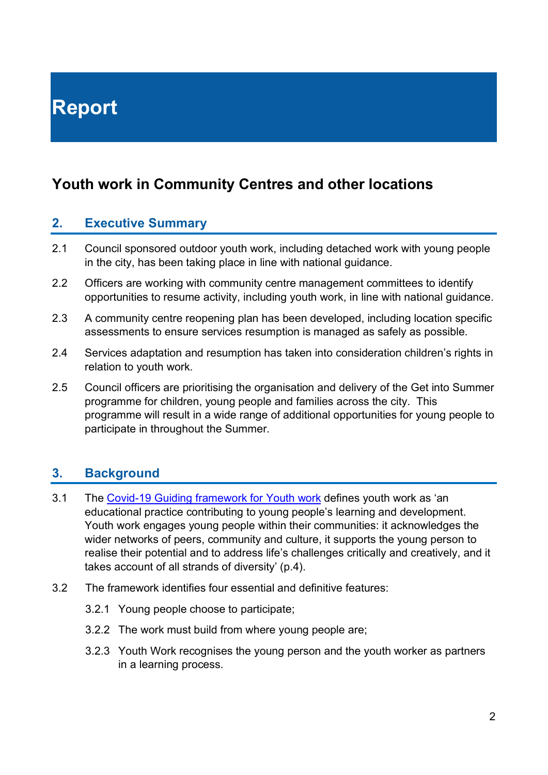# **Report**

## **Youth work in Community Centres and other locations**

#### **2. Executive Summary**

- 2.1 Council sponsored outdoor youth work, including detached work with young people in the city, has been taking place in line with national guidance.
- 2.2 Officers are working with community centre management committees to identify opportunities to resume activity, including youth work, in line with national guidance.
- 2.3 A community centre reopening plan has been developed, including location specific assessments to ensure services resumption is managed as safely as possible.
- 2.4 Services adaptation and resumption has taken into consideration children's rights in relation to youth work.
- 2.5 Council officers are prioritising the organisation and delivery of the Get into Summer programme for children, young people and families across the city. This programme will result in a wide range of additional opportunities for young people to participate in throughout the Summer.

### **3. Background**

- 3.1 The [Covid-19 Guiding framework for Youth work](https://www.youthlinkscotland.org/media/5974/youth-work-covid-19-guidance-framework.pdf) defines youth work as 'an educational practice contributing to young people's learning and development. Youth work engages young people within their communities: it acknowledges the wider networks of peers, community and culture, it supports the young person to realise their potential and to address life's challenges critically and creatively, and it takes account of all strands of diversity' (p.4).
- 3.2 The framework identifies four essential and definitive features:
	- 3.2.1 Young people choose to participate;
	- 3.2.2 The work must build from where young people are;
	- 3.2.3 Youth Work recognises the young person and the youth worker as partners in a learning process.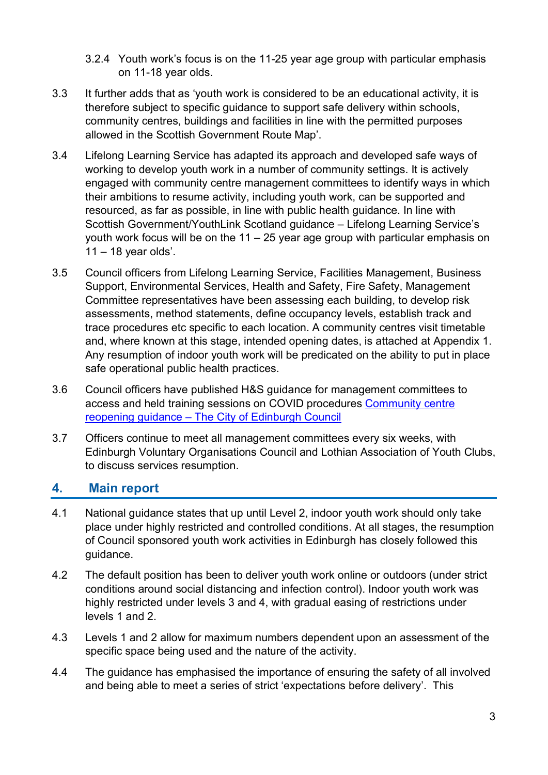- 3.2.4 Youth work's focus is on the 11-25 year age group with particular emphasis on 11-18 year olds.
- 3.3 It further adds that as 'youth work is considered to be an educational activity, it is therefore subject to specific guidance to support safe delivery within schools, community centres, buildings and facilities in line with the permitted purposes allowed in the Scottish Government Route Map'.
- 3.4 Lifelong Learning Service has adapted its approach and developed safe ways of working to develop youth work in a number of community settings. It is actively engaged with community centre management committees to identify ways in which their ambitions to resume activity, including youth work, can be supported and resourced, as far as possible, in line with public health guidance. In line with Scottish Government/YouthLink Scotland guidance – Lifelong Learning Service's youth work focus will be on the 11 – 25 year age group with particular emphasis on  $11 - 18$  year olds'.
- 3.5 Council officers from Lifelong Learning Service, Facilities Management, Business Support, Environmental Services, Health and Safety, Fire Safety, Management Committee representatives have been assessing each building, to develop risk assessments, method statements, define occupancy levels, establish track and trace procedures etc specific to each location. A community centres visit timetable and, where known at this stage, intended opening dates, is attached at Appendix 1. Any resumption of indoor youth work will be predicated on the ability to put in place safe operational public health practices.
- 3.6 Council officers have published H&S guidance for management committees to access and held training sessions on COVID procedures [Community centre](https://www.edinburgh.gov.uk/downloads/download/14799/community-centre-reopening-guidance)  reopening guidance – [The City of Edinburgh Council](https://www.edinburgh.gov.uk/downloads/download/14799/community-centre-reopening-guidance)
- 3.7 Officers continue to meet all management committees every six weeks, with Edinburgh Voluntary Organisations Council and Lothian Association of Youth Clubs, to discuss services resumption.

### **4. Main report**

- 4.1 National guidance states that up until Level 2, indoor youth work should only take place under highly restricted and controlled conditions. At all stages, the resumption of Council sponsored youth work activities in Edinburgh has closely followed this guidance.
- 4.2 The default position has been to deliver youth work online or outdoors (under strict conditions around social distancing and infection control). Indoor youth work was highly restricted under levels 3 and 4, with gradual easing of restrictions under levels 1 and 2.
- 4.3 Levels 1 and 2 allow for maximum numbers dependent upon an assessment of the specific space being used and the nature of the activity.
- 4.4 The guidance has emphasised the importance of ensuring the safety of all involved and being able to meet a series of strict 'expectations before delivery'. This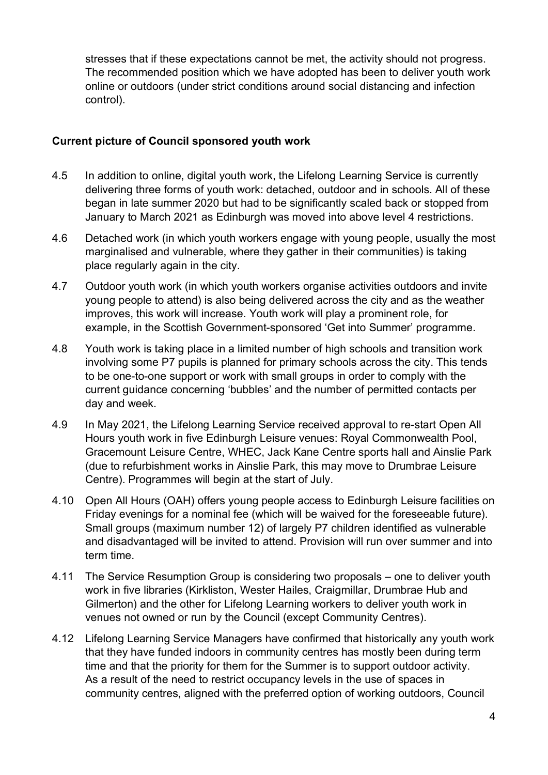stresses that if these expectations cannot be met, the activity should not progress. The recommended position which we have adopted has been to deliver youth work online or outdoors (under strict conditions around social distancing and infection control).

#### **Current picture of Council sponsored youth work**

- 4.5 In addition to online, digital youth work, the Lifelong Learning Service is currently delivering three forms of youth work: detached, outdoor and in schools. All of these began in late summer 2020 but had to be significantly scaled back or stopped from January to March 2021 as Edinburgh was moved into above level 4 restrictions.
- 4.6 Detached work (in which youth workers engage with young people, usually the most marginalised and vulnerable, where they gather in their communities) is taking place regularly again in the city.
- 4.7 Outdoor youth work (in which youth workers organise activities outdoors and invite young people to attend) is also being delivered across the city and as the weather improves, this work will increase. Youth work will play a prominent role, for example, in the Scottish Government-sponsored 'Get into Summer' programme.
- 4.8 Youth work is taking place in a limited number of high schools and transition work involving some P7 pupils is planned for primary schools across the city. This tends to be one-to-one support or work with small groups in order to comply with the current guidance concerning 'bubbles' and the number of permitted contacts per day and week.
- 4.9 In May 2021, the Lifelong Learning Service received approval to re-start Open All Hours youth work in five Edinburgh Leisure venues: Royal Commonwealth Pool, Gracemount Leisure Centre, WHEC, Jack Kane Centre sports hall and Ainslie Park (due to refurbishment works in Ainslie Park, this may move to Drumbrae Leisure Centre). Programmes will begin at the start of July.
- 4.10 Open All Hours (OAH) offers young people access to Edinburgh Leisure facilities on Friday evenings for a nominal fee (which will be waived for the foreseeable future). Small groups (maximum number 12) of largely P7 children identified as vulnerable and disadvantaged will be invited to attend. Provision will run over summer and into term time.
- 4.11 The Service Resumption Group is considering two proposals one to deliver youth work in five libraries (Kirkliston, Wester Hailes, Craigmillar, Drumbrae Hub and Gilmerton) and the other for Lifelong Learning workers to deliver youth work in venues not owned or run by the Council (except Community Centres).
- 4.12 Lifelong Learning Service Managers have confirmed that historically any youth work that they have funded indoors in community centres has mostly been during term time and that the priority for them for the Summer is to support outdoor activity. As a result of the need to restrict occupancy levels in the use of spaces in community centres, aligned with the preferred option of working outdoors, Council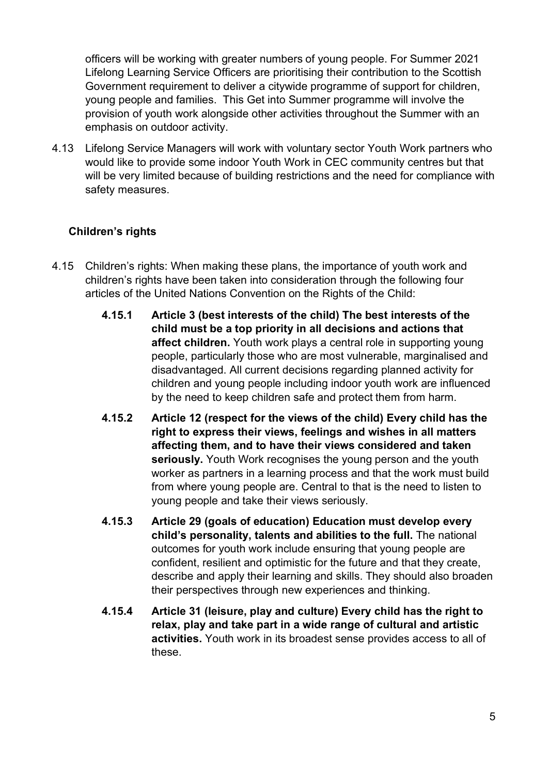officers will be working with greater numbers of young people. For Summer 2021 Lifelong Learning Service Officers are prioritising their contribution to the Scottish Government requirement to deliver a citywide programme of support for children, young people and families. This Get into Summer programme will involve the provision of youth work alongside other activities throughout the Summer with an emphasis on outdoor activity.

4.13 Lifelong Service Managers will work with voluntary sector Youth Work partners who would like to provide some indoor Youth Work in CEC community centres but that will be very limited because of building restrictions and the need for compliance with safety measures.

#### **Children's rights**

- 4.15 Children's rights: When making these plans, the importance of youth work and children's rights have been taken into consideration through the following four articles of the United Nations Convention on the Rights of the Child:
	- **4.15.1 Article 3 (best interests of the child) The best interests of the child must be a top priority in all decisions and actions that affect children.** Youth work plays a central role in supporting young people, particularly those who are most vulnerable, marginalised and disadvantaged. All current decisions regarding planned activity for children and young people including indoor youth work are influenced by the need to keep children safe and protect them from harm.
	- **4.15.2 Article 12 (respect for the views of the child) Every child has the right to express their views, feelings and wishes in all matters affecting them, and to have their views considered and taken seriously.** Youth Work recognises the young person and the youth worker as partners in a learning process and that the work must build from where young people are. Central to that is the need to listen to young people and take their views seriously.
	- **4.15.3 Article 29 (goals of education) Education must develop every child's personality, talents and abilities to the full.** The national outcomes for youth work include ensuring that young people are confident, resilient and optimistic for the future and that they create, describe and apply their learning and skills. They should also broaden their perspectives through new experiences and thinking.
	- **4.15.4 Article 31 (leisure, play and culture) Every child has the right to relax, play and take part in a wide range of cultural and artistic activities.** Youth work in its broadest sense provides access to all of these.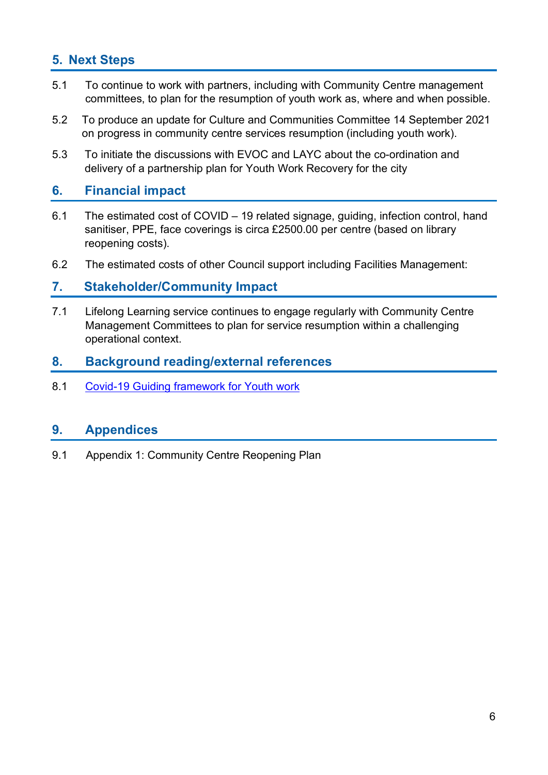### **5. Next Steps**

- 5.1 To continue to work with partners, including with Community Centre management committees, to plan for the resumption of youth work as, where and when possible.
- 5.2 To produce an update for Culture and Communities Committee 14 September 2021 on progress in community centre services resumption (including youth work).
- 5.3 To initiate the discussions with EVOC and LAYC about the co-ordination and delivery of a partnership plan for Youth Work Recovery for the city

#### **6. Financial impact**

- 6.1 The estimated cost of COVID 19 related signage, guiding, infection control, hand sanitiser, PPE, face coverings is circa £2500.00 per centre (based on library reopening costs).
- 6.2 The estimated costs of other Council support including Facilities Management:

#### **7. Stakeholder/Community Impact**

7.1 Lifelong Learning service continues to engage regularly with Community Centre Management Committees to plan for service resumption within a challenging operational context.

### **8. Background reading/external references**

8.1 [Covid-19 Guiding framework for Youth work](https://www.youthlinkscotland.org/media/5974/youth-work-covid-19-guidance-framework.pdf)

### **9. Appendices**

9.1 Appendix 1: Community Centre Reopening Plan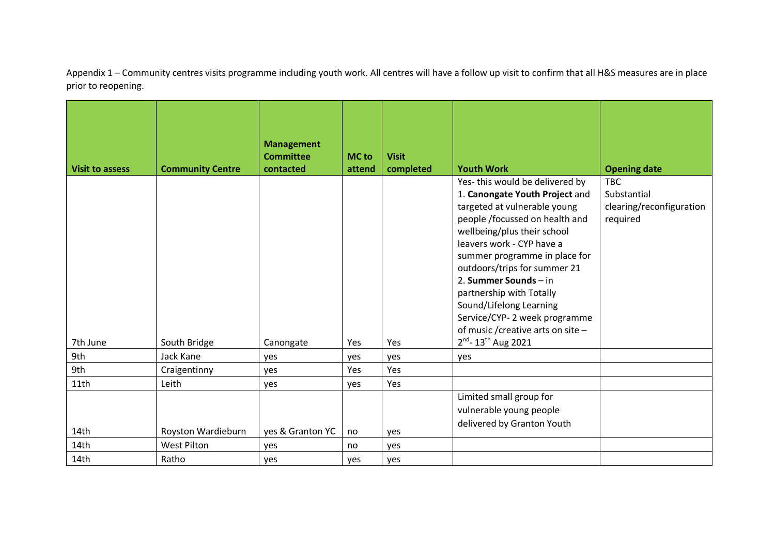Appendix 1 – Community centres visits programme including youth work. All centres will have a follow up visit to confirm that all H&S measures are in place prior to reopening.

| <b>Visit to assess</b> | <b>Community Centre</b> | <b>Management</b><br><b>Committee</b><br>contacted | <b>MC</b> to<br>attend | <b>Visit</b><br>completed | <b>Youth Work</b>                                                                                                                                                                                                                                                                                                                                                                                                     | <b>Opening date</b>                                               |
|------------------------|-------------------------|----------------------------------------------------|------------------------|---------------------------|-----------------------------------------------------------------------------------------------------------------------------------------------------------------------------------------------------------------------------------------------------------------------------------------------------------------------------------------------------------------------------------------------------------------------|-------------------------------------------------------------------|
|                        |                         |                                                    |                        |                           | Yes-this would be delivered by<br>1. Canongate Youth Project and<br>targeted at vulnerable young<br>people /focussed on health and<br>wellbeing/plus their school<br>leavers work - CYP have a<br>summer programme in place for<br>outdoors/trips for summer 21<br>2. Summer Sounds - in<br>partnership with Totally<br>Sound/Lifelong Learning<br>Service/CYP-2 week programme<br>of music / creative arts on site - | <b>TBC</b><br>Substantial<br>clearing/reconfiguration<br>required |
| 7th June               | South Bridge            | Canongate                                          | Yes                    | Yes                       | $2^{nd}$ - 13 <sup>th</sup> Aug 2021                                                                                                                                                                                                                                                                                                                                                                                  |                                                                   |
| 9th                    | Jack Kane               | yes                                                | yes                    | yes                       | yes                                                                                                                                                                                                                                                                                                                                                                                                                   |                                                                   |
| 9th                    | Craigentinny            | yes                                                | Yes                    | Yes                       |                                                                                                                                                                                                                                                                                                                                                                                                                       |                                                                   |
| 11th                   | Leith                   | yes                                                | yes                    | Yes                       |                                                                                                                                                                                                                                                                                                                                                                                                                       |                                                                   |
|                        |                         |                                                    |                        |                           | Limited small group for<br>vulnerable young people<br>delivered by Granton Youth                                                                                                                                                                                                                                                                                                                                      |                                                                   |
| 14th                   | Royston Wardieburn      | yes & Granton YC                                   | no                     | yes                       |                                                                                                                                                                                                                                                                                                                                                                                                                       |                                                                   |
| 14th                   | <b>West Pilton</b>      | yes                                                | no                     | yes                       |                                                                                                                                                                                                                                                                                                                                                                                                                       |                                                                   |
| 14th                   | Ratho                   | ves                                                | ves                    | ves                       |                                                                                                                                                                                                                                                                                                                                                                                                                       |                                                                   |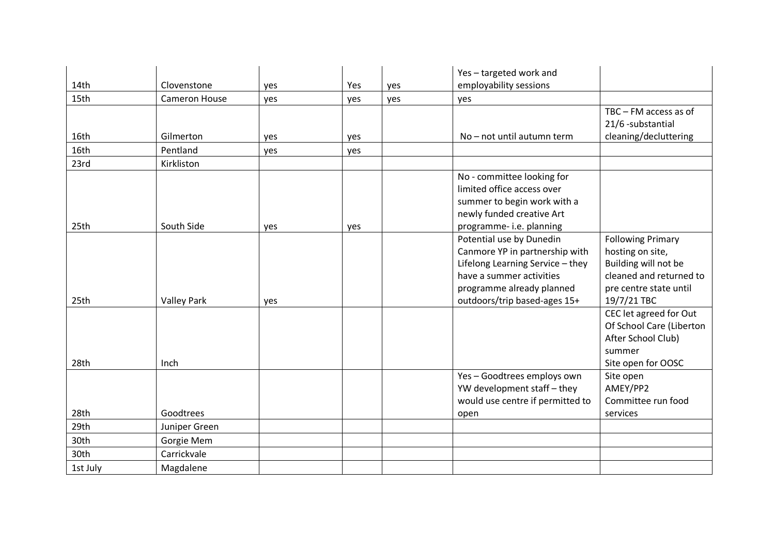|          |                      |     |     |     | Yes-targeted work and            |                                 |
|----------|----------------------|-----|-----|-----|----------------------------------|---------------------------------|
| 14th     | Clovenstone          | yes | Yes | yes | employability sessions           |                                 |
| 15th     | <b>Cameron House</b> | yes | yes | yes | yes                              |                                 |
|          |                      |     |     |     |                                  | $TBC - FM$ access as of         |
|          |                      |     |     |     |                                  | 21/6 -substantial               |
| 16th     | Gilmerton            | yes | yes |     | No - not until autumn term       | cleaning/decluttering           |
| 16th     | Pentland             | yes | yes |     |                                  |                                 |
| 23rd     | Kirkliston           |     |     |     |                                  |                                 |
|          |                      |     |     |     | No - committee looking for       |                                 |
|          |                      |     |     |     | limited office access over       |                                 |
|          |                      |     |     |     | summer to begin work with a      |                                 |
|          |                      |     |     |     | newly funded creative Art        |                                 |
| 25th     | South Side           | yes | yes |     | programme- i.e. planning         |                                 |
|          |                      |     |     |     | Potential use by Dunedin         | <b>Following Primary</b>        |
|          |                      |     |     |     | Canmore YP in partnership with   | hosting on site,                |
|          |                      |     |     |     | Lifelong Learning Service - they | Building will not be            |
|          |                      |     |     |     | have a summer activities         | cleaned and returned to         |
|          |                      |     |     |     | programme already planned        | pre centre state until          |
| 25th     | <b>Valley Park</b>   | yes |     |     | outdoors/trip based-ages 15+     | 19/7/21 TBC                     |
|          |                      |     |     |     |                                  | CEC let agreed for Out          |
|          |                      |     |     |     |                                  | Of School Care (Liberton        |
|          |                      |     |     |     |                                  | After School Club)              |
| 28th     | Inch                 |     |     |     |                                  | summer                          |
|          |                      |     |     |     | Yes-Goodtrees employs own        | Site open for OOSC<br>Site open |
|          |                      |     |     |     | YW development staff - they      | AMEY/PP2                        |
|          |                      |     |     |     | would use centre if permitted to | Committee run food              |
| 28th     | Goodtrees            |     |     |     | open                             | services                        |
| 29th     |                      |     |     |     |                                  |                                 |
|          | Juniper Green        |     |     |     |                                  |                                 |
| 30th     | Gorgie Mem           |     |     |     |                                  |                                 |
| 30th     | Carrickvale          |     |     |     |                                  |                                 |
| 1st July | Magdalene            |     |     |     |                                  |                                 |